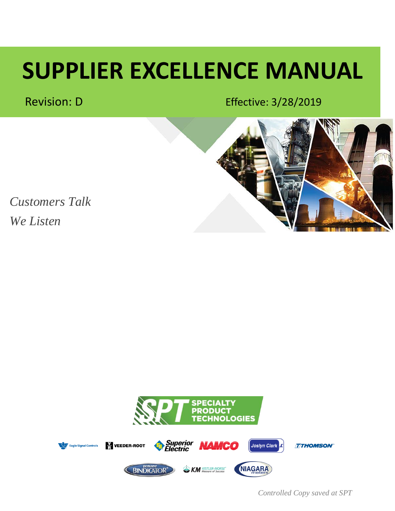# **SUPPLIER EXCELLENCE MANUAL**

Revision: D **B**EFFECTIVE: 3/28/2019



*Customers Talk We Listen*



*Controlled Copy saved at SPT*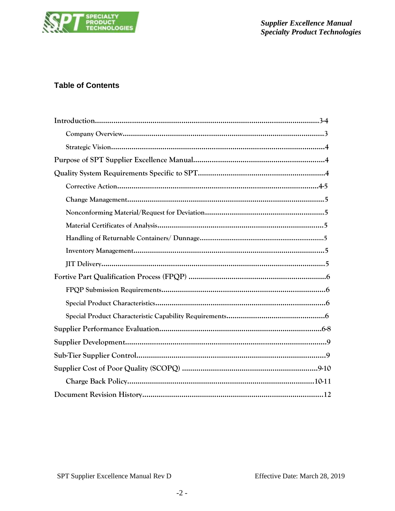

# **Table of Contents**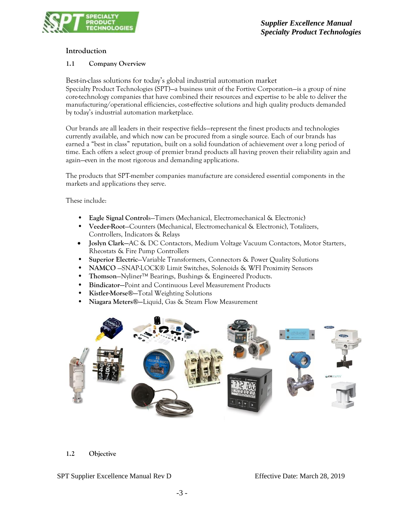

### **Introduction**

#### **1.1 Company Overview**

Best-in-class solutions for today's global industrial automation market Specialty Product Technologies (SPT)—a business unit of the Fortive Corporation—is a group of nine core-technology companies that have combined their resources and expertise to be able to deliver the manufacturing/operational efficiencies, cost-effective solutions and high quality products demanded by today's industrial automation marketplace.

Our brands are all leaders in their respective fields—represent the finest products and technologies currently available, and which now can be procured from a single source. Each of our brands has earned a "best in class" reputation, built on a solid foundation of achievement over a long period of time. Each offers a select group of premier brand products all having proven their reliability again and again—even in the most rigorous and demanding applications.

The products that SPT-member companies manufacture are considered essential components in the markets and applications they serve.

These include:

- **Eagle Signal Control**s—Timers (Mechanical, Electromechanical & Electronic)
- **Veeder-Root**—Counters (Mechanical, Electromechanical & Electronic), Totalizers, Controllers, Indicators & Relays
- **Joslyn Clark—**AC & DC Contactors, Medium Voltage Vacuum Contactors, Motor Starters, Rheostats & Fire Pump Controllers
- **Superior Electric**—Variable Transformers, Connectors & Power Quality Solutions
- **NAMCO** —SNAP-LOCK® Limit Switches, Solenoids & WFI Proximity Sensors
- **Thomson**—Nyliner™ Bearings, Bushings & Engineered Products.
- **Bindicator—**Point and Continuous Level Measurement Products
- **Kistler-Morse®—**Total Weighting Solutions
- **Niagara Meters®—**Liquid, Gas & Steam Flow Measurement



#### **1.2 Objective**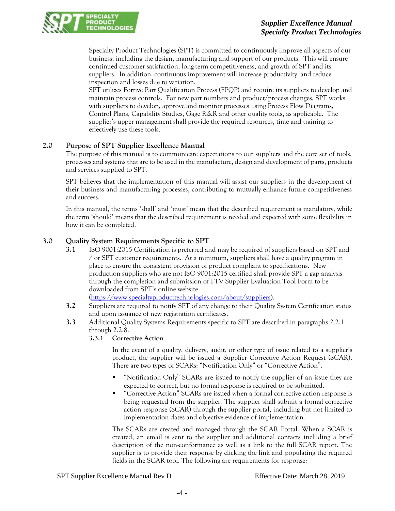## *Supplier Excellence Manual Specialty Product Technologies*



Specialty Product Technologies (SPT) is committed to continuously improve all aspects of our business, including the design, manufacturing and support of our products. This will ensure continued customer satisfaction, long-term competitiveness, and growth of SPT and its suppliers. In addition, continuous improvement will increase productivity, and reduce inspection and losses due to variation.

SPT utilizes Fortive Part Qualification Process (FPQP) and require its suppliers to develop and maintain process controls. For new part numbers and product/process changes, SPT works with suppliers to develop, approve and monitor processes using Process Flow Diagrams, Control Plans, Capability Studies, Gage R&R and other quality tools, as applicable. The supplier's upper management shall provide the required resources, time and training to effectively use these tools.

### **2.0 Purpose of SPT Supplier Excellence Manual**

The purpose of this manual is to communicate expectations to our suppliers and the core set of tools, processes and systems that are to be used in the manufacture, design and development of parts, products and services supplied to SPT.

SPT believes that the implementation of this manual will assist our suppliers in the development of their business and manufacturing processes, contributing to mutually enhance future competitiveness and success.

In this manual, the terms 'shall' and 'must' mean that the described requirement is mandatory, while the term 'should' means that the described requirement is needed and expected with some flexibility in how it can be completed.

## **3.0 Quality System Requirements Specific to SPT**

**3.1** ISO 9001:2015 Certification is preferred and may be required of suppliers based on SPT and / or SPT customer requirements. At a minimum, suppliers shall have a quality program in place to ensure the consistent provision of product compliant to specifications. New production suppliers who are not ISO 9001:2015 certified shall provide SPT a gap analysis through the completion and submission of FTV Supplier Evaluation Tool Form to be downloaded from SPT's online website

[\(https://www.specialtyproducttechnologies.com/about/suppliers\)](https://www.specialtyproducttechnologies.com/about/suppliers).

- **3.2** Suppliers are required to notify SPT of any change to their Quality System Certification status and upon issuance of new registration certificates.
- **3.3** Additional Quality Systems Requirements specific to SPT are described in paragraphs 2.2.1 through 2.2.8.
	- **3.3.1 Corrective Action**

In the event of a quality, delivery, audit, or other type of issue related to a supplier's product, the supplier will be issued a Supplier Corrective Action Request (SCAR). There are two types of SCARs: "Notification Only" or "Corrective Action".

- "Notification Only" SCARs are issued to notify the supplier of an issue they are expected to correct, but no formal response is required to be submitted.
- "Corrective Action" SCARs are issued when a formal corrective action response is being requested from the supplier. The supplier shall submit a formal corrective action response (SCAR) through the supplier portal, including but not limited to implementation dates and objective evidence of implementation.

The SCARs are created and managed through the SCAR Portal. When a SCAR is created, an email is sent to the supplier and additional contacts including a brief description of the non-conformance as well as a link to the full SCAR report. The supplier is to provide their response by clicking the link and populating the required fields in the SCAR tool. The following are requirements for response: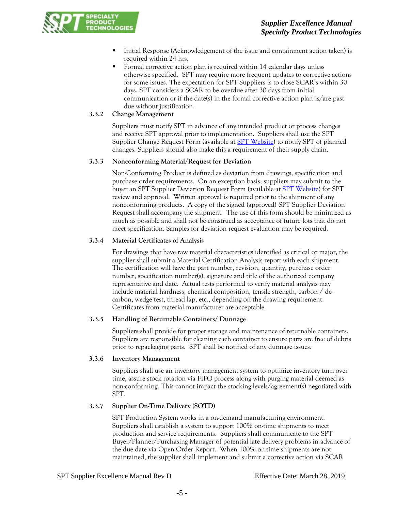## *Supplier Excellence Manual Specialty Product Technologies*



- Initial Response (Acknowledgement of the issue and containment action taken) is required within 24 hrs.
- Formal corrective action plan is required within 14 calendar days unless otherwise specified. SPT may require more frequent updates to corrective actions for some issues. The expectation for SPT Suppliers is to close SCAR's within 30 days. SPT considers a SCAR to be overdue after 30 days from initial communication or if the date(s) in the formal corrective action plan is/are past due without justification.

### **3.3.2 Change Management**

Suppliers must notify SPT in advance of any intended product or process changes and receive SPT approval prior to implementation. Suppliers shall use the SPT Supplier Change Request Form (available at **SPT Website**) to notify SPT of planned changes. Suppliers should also make this a requirement of their supply chain.

### **3.3.3 Nonconforming Material/Request for Deviation**

Non-Conforming Product is defined as deviation from drawings, specification and purchase order requirements. On an exception basis, suppliers may submit to the buyer an SPT Supplier Deviation Request Form (available at [SPT Website\)](https://www.specialtyproducttechnologies.com/about/suppliers) for SPT review and approval. Written approval is required prior to the shipment of any nonconforming products. A copy of the signed (approved) SPT Supplier Deviation Request shall accompany the shipment. The use of this form should be minimized as much as possible and shall not be construed as acceptance of future lots that do not meet specification. Samples for deviation request evaluation may be required.

### **3.3.4 Material Certificates of Analysis**

For drawings that have raw material characteristics identified as critical or major, the supplier shall submit a Material Certification Analysis report with each shipment. The certification will have the part number, revision, quantity, purchase order number, specification number(s), signature and title of the authorized company representative and date. Actual tests performed to verify material analysis may include material hardness, chemical composition, tensile strength, carbon / decarbon, wedge test, thread lap, etc., depending on the drawing requirement. Certificates from material manufacturer are acceptable.

### **3.3.5 Handling of Returnable Containers/ Dunnage**

Suppliers shall provide for proper storage and maintenance of returnable containers. Suppliers are responsible for cleaning each container to ensure parts are free of debris prior to repackaging parts. SPT shall be notified of any dunnage issues.

#### **3.3.6 Inventory Management**

Suppliers shall use an inventory management system to optimize inventory turn over time, assure stock rotation via FIFO process along with purging material deemed as non-conforming. This cannot impact the stocking levels/agreement(s) negotiated with SPT.

### **3.3.7 Supplier On-Time Delivery (SOTD)**

SPT Production System works in a on-demand manufacturing environment. Suppliers shall establish a system to support 100% on-time shipments to meet production and service requirements. Suppliers shall communicate to the SPT Buyer/Planner/Purchasing Manager of potential late delivery problems in advance of the due date via Open Order Report. When 100% on-time shipments are not maintained, the supplier shall implement and submit a corrective action via SCAR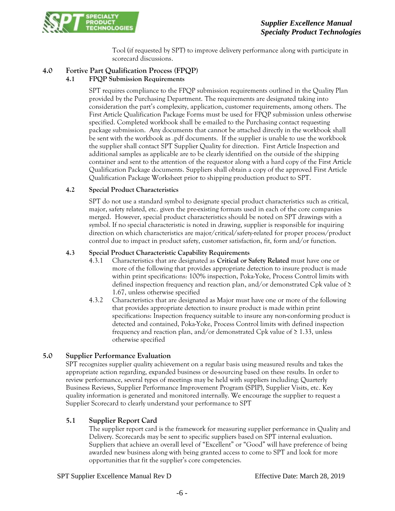

Tool (if requested by SPT) to improve delivery performance along with participate in scorecard discussions.

# **4.0 Fortive Part Qualification Process (FPQP)**

## **4.1 FPQP Submission Requirements**

SPT requires compliance to the FPQP submission requirements outlined in the Quality Plan provided by the Purchasing Department. The requirements are designated taking into consideration the part's complexity, application, customer requirements, among others. The First Article Qualification Package Forms must be used for FPQP submission unless otherwise specified. Completed workbook shall be e-mailed to the Purchasing contact requesting package submission. Any documents that cannot be attached directly in the workbook shall be sent with the workbook as .pdf documents. If the supplier is unable to use the workbook the supplier shall contact SPT Supplier Quality for direction. First Article Inspection and additional samples as applicable are to be clearly identified on the outside of the shipping container and sent to the attention of the requestor along with a hard copy of the First Article Qualification Package documents. Suppliers shall obtain a copy of the approved First Article Qualification Package Worksheet prior to shipping production product to SPT.

### **4.2 Special Product Characteristics**

SPT do not use a standard symbol to designate special product characteristics such as critical, major, safety related, etc. given the pre-existing formats used in each of the core companies merged. However, special product characteristics should be noted on SPT drawings with a symbol. If no special characteristic is noted in drawing, supplier is responsible for inquiring direction on which characteristics are major/critical/safety-related for proper process/product control due to impact in product safety, customer satisfaction, fit, form and/or function.

#### **4.3 Special Product Characteristic Capability Requirements**

- 4.3.1 Characteristics that are designated as **Critical or Safety Related** must have one or more of the following that provides appropriate detection to insure product is made within print specifications: 100% inspection, Poka-Yoke, Process Control limits with defined inspection frequency and reaction plan, and/or demonstrated Cpk value of  $\geq$ 1.67, unless otherwise specified
- 4.3.2 Characteristics that are designated as Major must have one or more of the following that provides appropriate detection to insure product is made within print specifications: Inspection frequency suitable to insure any non-conforming product is detected and contained, Poka-Yoke, Process Control limits with defined inspection frequency and reaction plan, and/or demonstrated Cpk value of  $\geq 1.33$ , unless otherwise specified

# **5.0 Supplier Performance Evaluation**

SPT recognizes supplier quality achievement on a regular basis using measured results and takes the appropriate action regarding, expanded business or de-sourcing based on these results. In order to review performance, several types of meetings may be held with suppliers including; Quarterly Business Reviews, Supplier Performance Improvement Program (SPIP), Supplier Visits, etc. Key quality information is generated and monitored internally. We encourage the supplier to request a Supplier Scorecard to clearly understand your performance to SPT

### **5.1 Supplier Report Card**

The supplier report card is the framework for measuring supplier performance in Quality and Delivery. Scorecards may be sent to specific suppliers based on SPT internal evaluation. Suppliers that achieve an overall level of "Excellent" or "Good" will have preference of being awarded new business along with being granted access to come to SPT and look for more opportunities that fit the supplier's core competencies.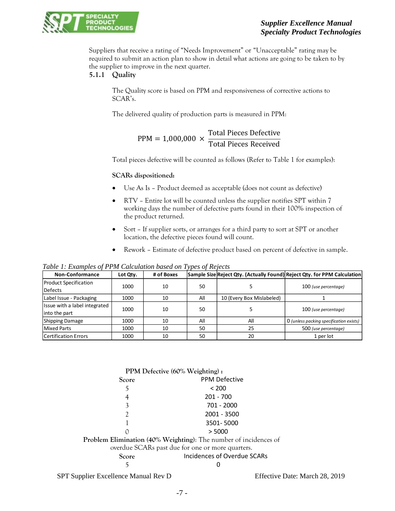

Suppliers that receive a rating of "Needs Improvement" or "Unacceptable" rating may be required to submit an action plan to show in detail what actions are going to be taken to by the supplier to improve in the next quarter.

## **5.1.1 Quality**

The Quality score is based on PPM and responsiveness of corrective actions to SCAR's.

The delivered quality of production parts is measured in PPM:

#### $PPM = 1,000,000 \times$ Total Pieces Defective Total Pieces Received

Total pieces defective will be counted as follows (Refer to Table 1 for examples):

#### **SCARs dispositioned:**

- Use As Is Product deemed as acceptable (does not count as defective)
- RTV Entire lot will be counted unless the supplier notifies SPT within 7 working days the number of defective parts found in their 100% inspection of the product returned.
- Sort If supplier sorts, or arranges for a third party to sort at SPT or another location, the defective pieces found will count.
- Rework Estimate of defective product based on percent of defective in sample.

*Table 1: Examples of PPM Calculation based on Types of Rejects*

| Non-Conformance               | Lot Qty. | # of Boxes |     |                           | Sample Size Reject Qty. (Actually Found) Reject Qty. for PPM Calculation |
|-------------------------------|----------|------------|-----|---------------------------|--------------------------------------------------------------------------|
| <b>Product Specification</b>  | 1000     | 10         | 50  |                           |                                                                          |
| <b>Defects</b>                |          |            |     |                           | 100 (use percentage)                                                     |
| Label Issue - Packaging       | 1000     | 10         | All | 10 (Every Box Mislabeled) |                                                                          |
| Issue with a label integrated |          |            |     |                           |                                                                          |
| into the part                 | 1000     | 10         | 50  |                           | 100 (use percentage)                                                     |
| Shipping Damage               | 1000     | 10         | All | All                       | O (unless packing specification exists)                                  |
| Mixed Parts                   | 1000     | 10         | 50  | 25                        | 500 (use percentage)                                                     |
| Certification Errors          | 1000     | 10         | 50  | 20                        | 1 per lot                                                                |

| PPM Defective (60% Weighting):                                   |                             |  |  |
|------------------------------------------------------------------|-----------------------------|--|--|
| Score                                                            | <b>PPM Defective</b>        |  |  |
| 5                                                                | < 200                       |  |  |
|                                                                  | $201 - 700$                 |  |  |
| 3                                                                | 701 - 2000                  |  |  |
|                                                                  | 2001 - 3500                 |  |  |
|                                                                  | 3501-5000                   |  |  |
|                                                                  | > 5000                      |  |  |
| Problem Elimination (40% Weighting): The number of incidences of |                             |  |  |
| overdue SCARs past due for one or more quarters.                 |                             |  |  |
| Score                                                            | Incidences of Overdue SCARs |  |  |
|                                                                  |                             |  |  |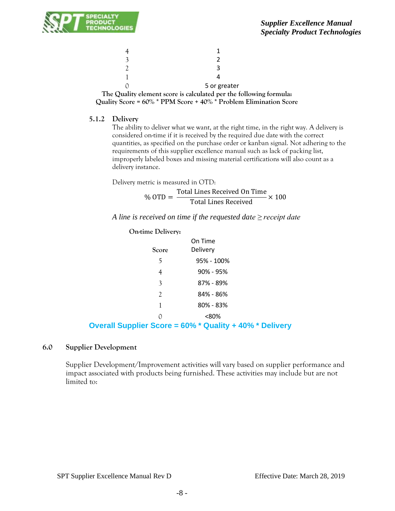

|                                                 | 5 or greater                                                           |
|-------------------------------------------------|------------------------------------------------------------------------|
| $T_{\rm tot} \cap \ldots \cap T_{\rm test}$ . I | and a compact of continuations of an analysis of all constructions for |

**The Quality element score is calculated per the following formula: Quality Score = 60% \* PPM Score + 40% \* Problem Elimination Score**

#### **5.1.2 Delivery**

The ability to deliver what we want, at the right time, in the right way. A delivery is considered on-time if it is received by the required due date with the correct quantities, as specified on the purchase order or kanban signal. Not adhering to the requirements of this supplier excellence manual such as lack of packing list, improperly labeled boxes and missing material certifications will also count as a delivery instance.

Delivery metric is measured in OTD:

 $%$  OTD  $=$ Total Lines Received On Time  $\frac{1}{100}$  Total Lines Received  $\times 100$ 

*A line is received on time if the requested date ≥ receipt date*

#### **On-time Delivery:**

|                | On Time    |  |
|----------------|------------|--|
| Score          | Delivery   |  |
| 5              | 95% - 100% |  |
| 4              | 90% - 95%  |  |
| 3              | 87% - 89%  |  |
| $\mathfrak{D}$ | 84% - 86%  |  |
| 1              | 80% - 83%  |  |
| ∩              | <80%       |  |
|                |            |  |

### **Overall Supplier Score = 60% \* Quality + 40% \* Delivery**

#### **6.0 Supplier Development**

Supplier Development/Improvement activities will vary based on supplier performance and impact associated with products being furnished. These activities may include but are not limited to: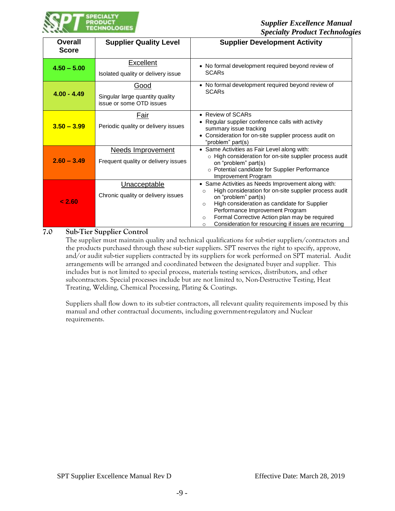

| <b>Overall</b><br><b>Score</b> | <b>Supplier Quality Level</b>                                       | <b>Supplier Development Activity</b>                                                                                                                                                                                                                                                                                                                                  |
|--------------------------------|---------------------------------------------------------------------|-----------------------------------------------------------------------------------------------------------------------------------------------------------------------------------------------------------------------------------------------------------------------------------------------------------------------------------------------------------------------|
| $4.50 - 5.00$                  | Excellent<br>Isolated quality or delivery issue                     | • No formal development required beyond review of<br><b>SCARs</b>                                                                                                                                                                                                                                                                                                     |
| $4.00 - 4.49$                  | Good<br>Singular large quantity quality<br>issue or some OTD issues | • No formal development required beyond review of<br><b>SCARs</b>                                                                                                                                                                                                                                                                                                     |
| $3.50 - 3.99$                  | Fair<br>Periodic quality or delivery issues                         | • Review of SCARs<br>• Regular supplier conference calls with activity<br>summary issue tracking<br>• Consideration for on-site supplier process audit on<br>"problem" part(s)                                                                                                                                                                                        |
| $2.60 - 3.49$                  | Needs Improvement<br>Frequent quality or delivery issues            | • Same Activities as Fair Level along with:<br>o High consideration for on-site supplier process audit<br>on "problem" part(s)<br>o Potential candidate for Supplier Performance<br>Improvement Program                                                                                                                                                               |
| 2.60                           | Unacceptable<br>Chronic quality or delivery issues                  | • Same Activities as Needs Improvement along with:<br>High consideration for on-site supplier process audit<br>$\circ$<br>on "problem" part(s)<br>High consideration as candidate for Supplier<br>$\circ$<br>Performance Improvement Program<br>Formal Corrective Action plan may be required<br>$\circ$<br>Consideration for resourcing if issues are recurring<br>O |

#### **7.0 Sub-Tier Supplier Control**

The supplier must maintain quality and technical qualifications for sub-tier suppliers/contractors and the products purchased through these sub-tier suppliers. SPT reserves the right to specify, approve, and/or audit sub-tier suppliers contracted by its suppliers for work performed on SPT material. Audit arrangements will be arranged and coordinated between the designated buyer and supplier. This includes but is not limited to special process, materials testing services, distributors, and other subcontractors. Special processes include but are not limited to, Non-Destructive Testing, Heat Treating, Welding, Chemical Processing, Plating & Coatings.

Suppliers shall flow down to its sub-tier contractors, all relevant quality requirements imposed by this manual and other contractual documents, including government-regulatory and Nuclear requirements.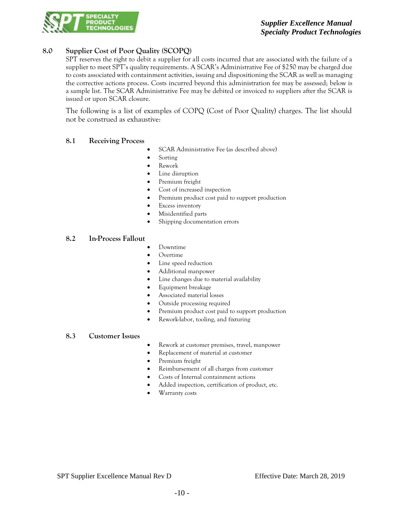

# **8.0 Supplier Cost of Poor Quality (SCOPQ)**

SPT reserves the right to debit a supplier for all costs incurred that are associated with the failure of a supplier to meet SPT's quality requirements. A SCAR's Administrative Fee of \$250 may be charged due to costs associated with containment activities, issuing and dispositioning the SCAR as well as managing the corrective actions process. Costs incurred beyond this administration fee may be assessed; below is a sample list. The SCAR Administrative Fee may be debited or invoiced to suppliers after the SCAR is issued or upon SCAR closure.

The following is a list of examples of COPQ (Cost of Poor Quality) charges. The list should not be construed as exhaustive:

### **8.1 Receiving Process**

- SCAR Administrative Fee (as described above)
- Sorting
- Rework
- Line disruption
- Premium freight
- Cost of increased inspection
- Premium product cost paid to support production
- Excess inventory
- Misidentified parts
- Shipping documentation errors

### **8.2 In-Process Fallout**

- Downtime
- Overtime
- Line speed reduction
- Additional manpower
- Line changes due to material availability
- Equipment breakage
- Associated material losses
- Outside processing required
- Premium product cost paid to support production
- Rework-labor, tooling, and fixturing

### **8.3 Customer Issues**

- Rework at customer premises, travel, manpower
- Replacement of material at customer
- Premium freight
- Reimbursement of all charges from customer
- Costs of Internal containment actions
- Added inspection, certification of product, etc.
- Warranty costs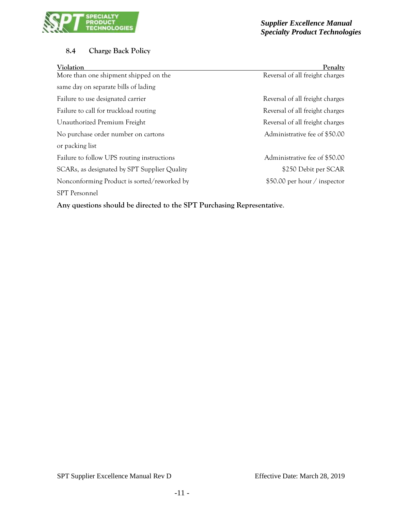

# **8.4 Charge Back Policy**

| Violation                                    | Penalty                         |
|----------------------------------------------|---------------------------------|
| More than one shipment shipped on the        | Reversal of all freight charges |
| same day on separate bills of lading         |                                 |
| Failure to use designated carrier            | Reversal of all freight charges |
| Failure to call for truckload routing        | Reversal of all freight charges |
| Unauthorized Premium Freight                 | Reversal of all freight charges |
| No purchase order number on cartons          | Administrative fee of \$50.00   |
| or packing list                              |                                 |
| Failure to follow UPS routing instructions   | Administrative fee of \$50.00   |
| SCARs, as designated by SPT Supplier Quality | \$250 Debit per SCAR            |
| Nonconforming Product is sorted/reworked by  | \$50.00 per hour / inspector    |
| <b>SPT</b> Personnel                         |                                 |

**Any questions should be directed to the SPT Purchasing Representative**.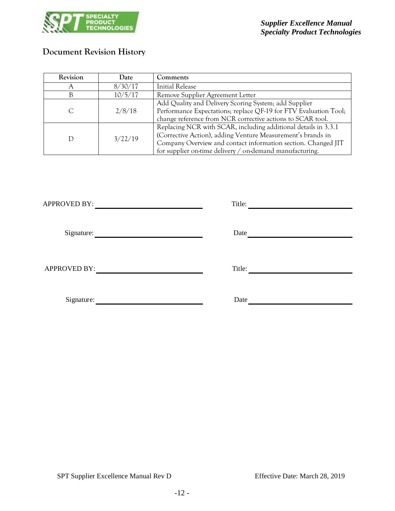

# **Document Revision History**

| Revision | Date    | Comments                                                         |  |
|----------|---------|------------------------------------------------------------------|--|
| A        | 8/30/17 | <b>Initial Release</b>                                           |  |
| В        | 10/5/17 | Remove Supplier Agreement Letter                                 |  |
|          |         | Add Quality and Delivery Scoring System; add Supplier            |  |
| С        | 2/8/18  | Performance Expectations; replace QF-19 for FTV Evaluation Tool; |  |
|          |         | change reference from NCR corrective actions to SCAR tool.       |  |
|          |         | Replacing NCR with SCAR, including additional details in 3.3.1   |  |
| D        | 3/22/19 | (Corrective Action), adding Venture Measurement's brands in      |  |
|          |         | Company Overview and contact information section. Changed JIT    |  |
|          |         | for supplier on-time delivery / on-demand manufacturing.         |  |

| <b>APPROVED BY:</b> | Title: |
|---------------------|--------|
| Signature:          | Date   |
| <b>APPROVED BY:</b> | Title: |
| Signature:          | Date   |